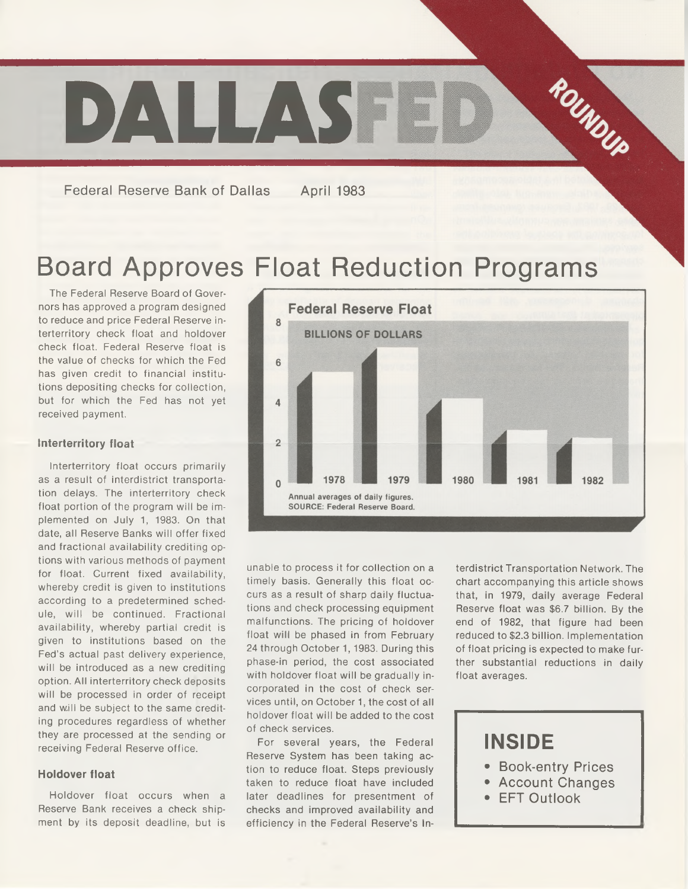

**Federal Reserve Bank of Dallas April 1983**

# Board Approves Float Reduction Programs

The Federal Reserve Board of Governors has approved a program designed to reduce and price Federal Reserve interterritory check float and holdover check float. Federal Reserve float is the value of checks for which the Fed has given credit to financial institutions depositing checks for collection, but for which the Fed has not yet received payment.

## **interierritory float**

Interterritory float occurs primarily as a result of interdistrict transportation delays. The interterritory check float portion of the program will be implemented on July 1, 1983. On that date, all Reserve Banks will offer fixed and fractional availability crediting options with various methods of payment for float. Current fixed availability, whereby credit is given to institutions according to a predetermined schedule, will be continued. Fractional availability, whereby partial credit is given to institutions based on the Fed's actual past delivery experience, will be introduced as a new crediting option. All interterritory check deposits will be processed in order of receipt and will be subject to the same crediting procedures regardless of whether they are processed at the sending or receiving Federal Reserve office.

#### **Holdover float**

Holdover float occurs when a Reserve Bank receives a check shipment by its deposit deadline, but is



unable to process it for collection on a timely basis. Generally this float occurs as a result of sharp daily fluctuations and check processing equipment malfunctions. The pricing of holdover float will be phased in from February 24 through October 1, 1983. During this phase-in period, the cost associated with holdover float will be gradually incorporated in the cost of check services until, on October 1, the cost of all holdover float will be added to the cost of check services.

For several years, the Federal Reserve System has been taking action to reduce float. Steps previously taken to reduce float have included later deadlines for presentment of checks and improved availability and efficiency in the Federal Reserve's In-

terdistrict Transportation Network. The chart accompanying this article shows that, in 1979, daily average Federal Reserve float was \$6.7 billion. By the end of 1982, that figure had been reduced to \$2.3 billion. Implementation of float pricing is expected to make further substantial reductions in daily float averages.

# **INSIDE**

- **Book-entry Prices**
- **Account Changes**
- **EFT Outlook**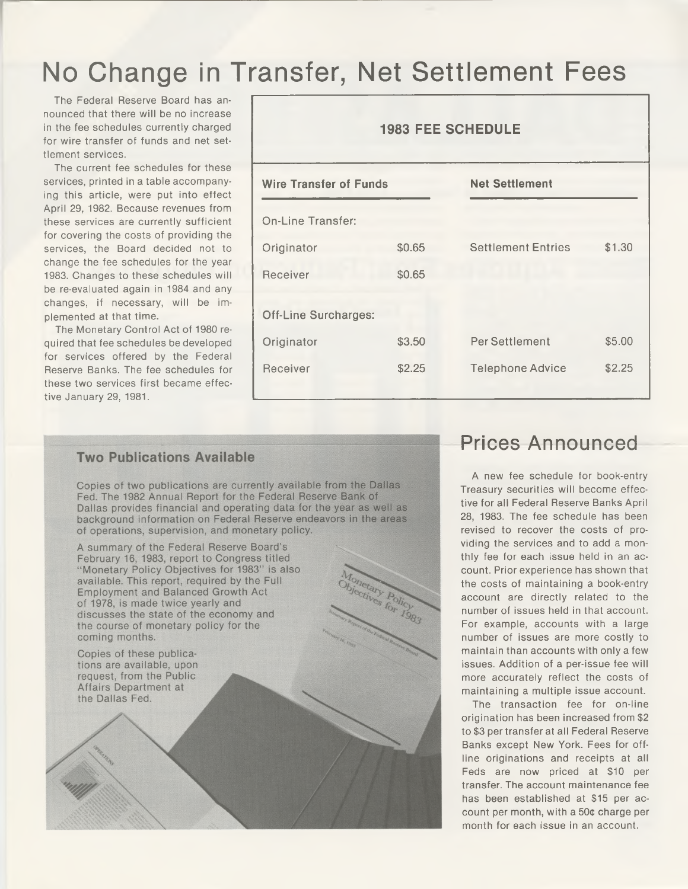# No Change in Transfer, Net Settlement Fees

The Federal Reserve Board has announced that there will be no increase in the fee schedules currently charged for wire transfer of funds and net settlement services.

The current fee schedules for these services, printed in a table accompanying this article, were put into effect April 29, 1982. Because revenues from these services are currently sufficient for covering the costs of providing the services, the Board decided not to change the fee schedules for the year 1983. Changes to these schedules will be re-evaluated again in 1984 and any changes, if necessary, will be implemented at that time.

The Monetary Control Act of 1980 required that fee schedules be developed for services offered by the Federal Reserve Banks. The fee schedules for these two services first became effective January 29, 1981.

| <b>1983 FEE SCHEDULE</b>      |        |                           |        |  |  |  |  |
|-------------------------------|--------|---------------------------|--------|--|--|--|--|
| <b>Wire Transfer of Funds</b> |        | <b>Net Settlement</b>     |        |  |  |  |  |
| <b>On-Line Transfer:</b>      |        |                           |        |  |  |  |  |
| Originator                    | \$0.65 | <b>Settlement Entries</b> | \$1.30 |  |  |  |  |
| Receiver                      | \$0.65 |                           |        |  |  |  |  |
| <b>Off-Line Surcharges:</b>   |        |                           |        |  |  |  |  |
| Originator                    | \$3.50 | Per Settlement            | \$5.00 |  |  |  |  |
| <b>Receiver</b>               | \$2.25 | <b>Telephone Advice</b>   | \$2.25 |  |  |  |  |
|                               |        |                           |        |  |  |  |  |

## **Two Publications Available**

Copies of two publications are currently available from the Dallas Fed. The 1982 Annual Report for the Federal Reserve Bank of Dallas provides financial and operating data for the year as well as background information on Federal Reserve endeavors in the areas of operations, supervision, and monetary policy.



## Prices Announced

A new fee schedule for book-entry Treasury securities will become effective for all Federal Reserve Banks April 28, 1983. The fee schedule has been revised to recover the costs of providing the services and to add a monthly fee for each issue held in an account. Prior experience has shown that the costs of maintaining a book-entry account are directly related to the number of issues held in that account. For example, accounts with a large number of issues are more costly to maintain than accounts with only a few issues. Addition of a per-issue fee will more accurately reflect the costs of maintaining a multiple issue account.

The transaction fee for on-line origination has been increased from \$2 to \$3 per transfer at all Federal Reserve Banks except New York. Fees for offline originations and receipts at all Feds are now priced at \$10 per transfer. The account maintenance fee has been established at \$15 per account per month, with a  $50¢$  charge per month for each issue in an account.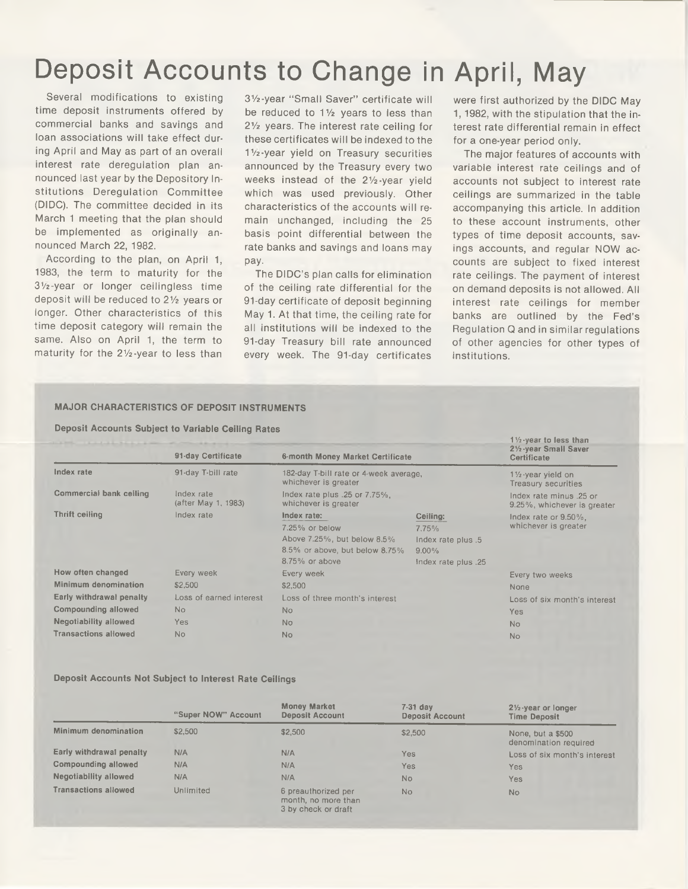# Deposit Accounts to Change in April, May

Several modifications to existing time deposit instruments offered by commercial banks and savings and loan associations will take effect during April and May as part of an overall interest rate deregulation plan announced last year by the Depository Institutions Deregulation Committee (DIDC). The committee decided in its March 1 meeting that the plan should be implemented as originally announced March 22, 1982.

According to the plan, on April 1, 1983, the term to maturity for the 31/2-year or longer ceilingless time deposit will be reduced to 21/z years or longer. Other characteristics of this time deposit category will remain the same. Also on April 1, the term to maturity for the 21/z-year to less than

31/2-year "Small Saver" certificate will be reduced to  $1\frac{1}{2}$  years to less than  $2\frac{1}{2}$  years. The interest rate ceiling for these certificates will be indexed to the 1 Vz-year yield on Treasury securities announced by the Treasury every two weeks instead of the 21/2-year yield which was used previously. Other characteristics of the accounts will remain unchanged, including the 25 basis point differential between the rate banks and savings and loans may pay.

The DIDC's plan calls for elimination of the ceiling rate differential for the 91-day certificate of deposit beginning May 1. At that time, the ceiling rate for all institutions will be indexed to the 91-day Treasury bill rate announced every week. The 91-day certificates were first authorized by the DIDC May 1,1982, with the stipulation that the interest rate differential remain in effect for a one-year period only.

The major features of accounts with variable interest rate ceilings and of accounts not subject to interest rate ceilings are summarized in the table accompanying this article. In addition to these account instruments, other types of time deposit accounts, savings accounts, and regular NOW accounts are subject to fixed interest rate ceilings. The payment of interest on demand deposits is not allowed. All interest rate ceilings for member banks are outlined by the Fed's Regulation Q and in similar regulations of other agencies for other types of institutions.

## **MAJOR CHARACTERISTICS OF DEPOSIT INSTRUMENTS**

**Deposit Accounts Subject to Variable Ceiling Rates**

|                                | 91-day Certificate                | 6-month Money Market Certificate<br>182-day T-bill rate or 4-week average,<br>whichever is greater<br>Index rate plus .25 or 7.75%,<br>whichever is greater |                     | $1\frac{1}{2}$ -year to less than<br>21/2-year Small Saver<br>Certificate |
|--------------------------------|-----------------------------------|-------------------------------------------------------------------------------------------------------------------------------------------------------------|---------------------|---------------------------------------------------------------------------|
| Index rate                     | 91-day T-bill rate                |                                                                                                                                                             |                     | 11/ <sub>2</sub> -year yield on<br>Treasury securities                    |
| <b>Commercial bank ceiling</b> | Index rate<br>(after May 1, 1983) |                                                                                                                                                             |                     | Index rate minus .25 or<br>9.25%, whichever is greater                    |
| <b>Thrift ceiling</b>          | Index rate                        | Index rate:                                                                                                                                                 | Ceiling:            | Index rate or $9.50\%$ .                                                  |
|                                |                                   | 7.25% or below                                                                                                                                              | 7.75%               | whichever is greater                                                      |
|                                |                                   | Above 7.25%, but below 8.5%                                                                                                                                 | Index rate plus .5  |                                                                           |
|                                |                                   | 8.5% or above, but below 8.75%                                                                                                                              | $9.00\%$            |                                                                           |
|                                |                                   | $8.75\%$ or above                                                                                                                                           | Index rate plus .25 |                                                                           |
| How often changed              | Every week<br>Every week          |                                                                                                                                                             | Every two weeks     |                                                                           |
| Minimum denomination           | \$2,500                           | \$2,500                                                                                                                                                     |                     | None                                                                      |
| Early withdrawal penalty       | Loss of earned interest           | Loss of three month's interest                                                                                                                              |                     | Loss of six month's interest                                              |
| <b>Compounding allowed</b>     | <b>No</b>                         | <b>No</b>                                                                                                                                                   |                     | Yes                                                                       |
| Negotiability allowed          | Yes                               | No                                                                                                                                                          |                     | <b>No</b>                                                                 |
| <b>Transactions allowed</b>    | <b>No</b>                         | <b>No</b>                                                                                                                                                   |                     | <b>No</b>                                                                 |

## **Deposit Accounts Not Subject to Interest Rate Ceilings**

|                              | "Super NOW" Account | <b>Money Market</b><br><b>Deposit Account</b>                     | $7-31$ day<br><b>Deposit Account</b> | $2\frac{1}{2}$ -year or longer<br><b>Time Deposit</b> |
|------------------------------|---------------------|-------------------------------------------------------------------|--------------------------------------|-------------------------------------------------------|
| Minimum denomination         | \$2,500             | \$2,500                                                           | \$2,500                              | None, but a \$500<br>denomination required            |
| Early withdrawal penalty     | N/A                 | <b>N/A</b>                                                        | Yes                                  | Loss of six month's interest                          |
| Compounding allowed          | <b>N/A</b>          | N/A                                                               | Yes                                  | Yes                                                   |
| <b>Negotiability allowed</b> | N/A                 | N/A                                                               | No                                   | Yes                                                   |
| <b>Transactions allowed</b>  | <b>Unlimited</b>    | 6 preauthorized per<br>month, no more than<br>3 by check or draft | No                                   | <b>No</b>                                             |